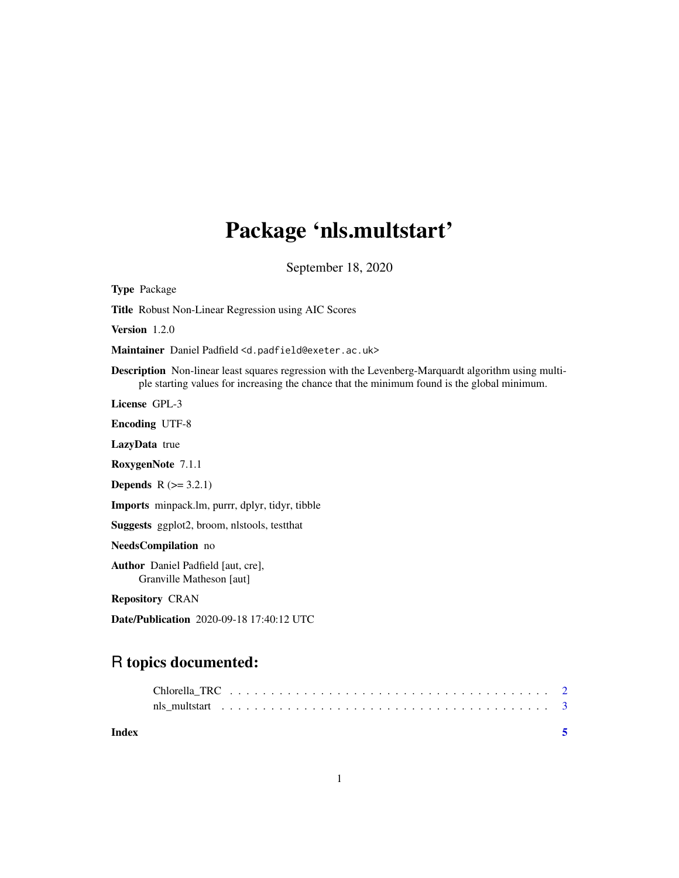# Package 'nls.multstart'

September 18, 2020

<span id="page-0-0"></span>Type Package Title Robust Non-Linear Regression using AIC Scores Version 1.2.0 Maintainer Daniel Padfield <d.padfield@exeter.ac.uk> Description Non-linear least squares regression with the Levenberg-Marquardt algorithm using multiple starting values for increasing the chance that the minimum found is the global minimum. License GPL-3 Encoding UTF-8 LazyData true RoxygenNote 7.1.1 **Depends**  $R (= 3.2.1)$ Imports minpack.lm, purrr, dplyr, tidyr, tibble Suggests ggplot2, broom, nlstools, testthat NeedsCompilation no Author Daniel Padfield [aut, cre], Granville Matheson [aut] Repository CRAN Date/Publication 2020-09-18 17:40:12 UTC R topics documented:

# Chlorella\_TRC . . . . . . . . . . . . . . . . . . . . . . . . . . . . . . . . . . . . . . . [2](#page-1-0) nls\_multstart . . . . . . . . . . . . . . . . . . . . . . . . . . . . . . . . . . . . . . . . [3](#page-2-0) **Index** [5](#page-4-0). The second state of the second state of the second state of the second state of the second state of the second state of the second state of the second state of the second state of the second state of the second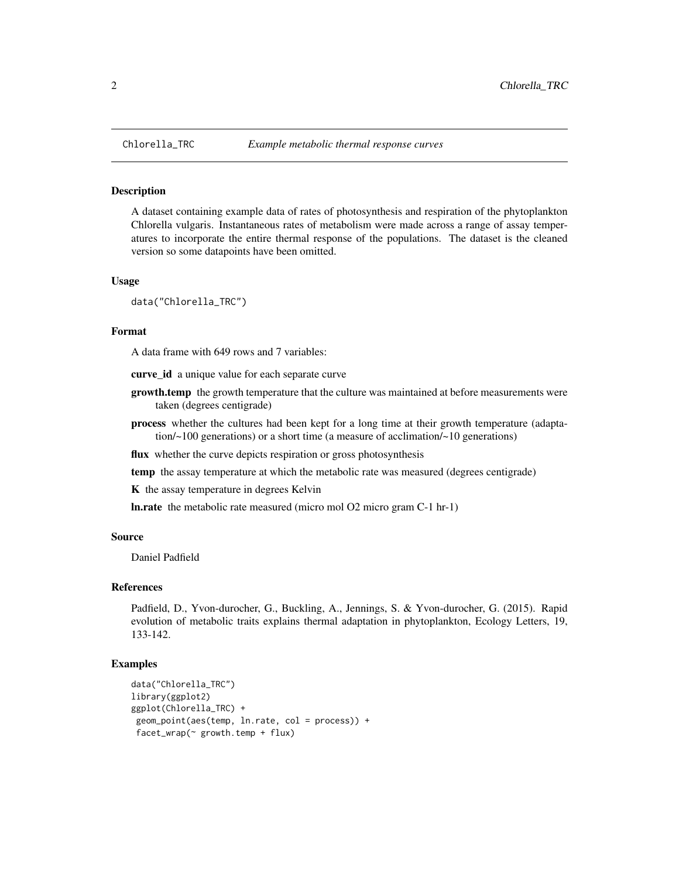## Description

A dataset containing example data of rates of photosynthesis and respiration of the phytoplankton Chlorella vulgaris. Instantaneous rates of metabolism were made across a range of assay temperatures to incorporate the entire thermal response of the populations. The dataset is the cleaned version so some datapoints have been omitted.

### Usage

data("Chlorella\_TRC")

# Format

A data frame with 649 rows and 7 variables:

curve\_id a unique value for each separate curve

- **growth.temp** the growth temperature that the culture was maintained at before measurements were taken (degrees centigrade)
- process whether the cultures had been kept for a long time at their growth temperature (adaptation/~100 generations) or a short time (a measure of acclimation/~10 generations)

flux whether the curve depicts respiration or gross photosynthesis

temp the assay temperature at which the metabolic rate was measured (degrees centigrade)

K the assay temperature in degrees Kelvin

ln.rate the metabolic rate measured (micro mol O2 micro gram C-1 hr-1)

## Source

Daniel Padfield

#### References

Padfield, D., Yvon-durocher, G., Buckling, A., Jennings, S. & Yvon-durocher, G. (2015). Rapid evolution of metabolic traits explains thermal adaptation in phytoplankton, Ecology Letters, 19, 133-142.

## Examples

```
data("Chlorella_TRC")
library(ggplot2)
ggplot(Chlorella_TRC) +
geom_point(aes(temp, ln.rate, col = process)) +
 facet_wrap(~ growth.temp + flux)
```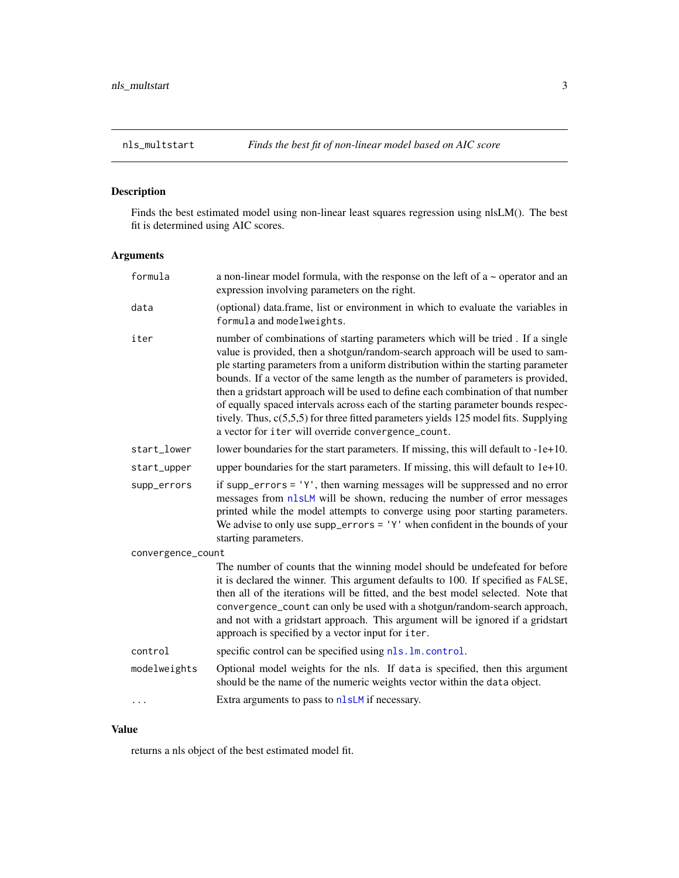# <span id="page-2-0"></span>Description

Finds the best estimated model using non-linear least squares regression using nlsLM(). The best fit is determined using AIC scores.

# Arguments

| formula           | a non-linear model formula, with the response on the left of $a \sim$ operator and an<br>expression involving parameters on the right.                                                                                                                                                                                                                                                                                                                                                                                                                                                                                                                         |
|-------------------|----------------------------------------------------------------------------------------------------------------------------------------------------------------------------------------------------------------------------------------------------------------------------------------------------------------------------------------------------------------------------------------------------------------------------------------------------------------------------------------------------------------------------------------------------------------------------------------------------------------------------------------------------------------|
| data              | (optional) data.frame, list or environment in which to evaluate the variables in<br>formula and modelweights.                                                                                                                                                                                                                                                                                                                                                                                                                                                                                                                                                  |
| iter              | number of combinations of starting parameters which will be tried. If a single<br>value is provided, then a shotgun/random-search approach will be used to sam-<br>ple starting parameters from a uniform distribution within the starting parameter<br>bounds. If a vector of the same length as the number of parameters is provided,<br>then a gridstart approach will be used to define each combination of that number<br>of equally spaced intervals across each of the starting parameter bounds respec-<br>tively. Thus, $c(5,5,5)$ for three fitted parameters yields 125 model fits. Supplying<br>a vector for iter will override convergence_count. |
| start_lower       | lower boundaries for the start parameters. If missing, this will default to -1e+10.                                                                                                                                                                                                                                                                                                                                                                                                                                                                                                                                                                            |
| start_upper       | upper boundaries for the start parameters. If missing, this will default to $1e+10$ .                                                                                                                                                                                                                                                                                                                                                                                                                                                                                                                                                                          |
| supp_errors       | if supp_errors = $'Y'$ , then warning messages will be suppressed and no error<br>messages from nlsLM will be shown, reducing the number of error messages<br>printed while the model attempts to converge using poor starting parameters.<br>We advise to only use supp_errors = $'Y'$ when confident in the bounds of your<br>starting parameters.                                                                                                                                                                                                                                                                                                           |
| convergence_count |                                                                                                                                                                                                                                                                                                                                                                                                                                                                                                                                                                                                                                                                |
|                   | The number of counts that the winning model should be undefeated for before<br>it is declared the winner. This argument defaults to 100. If specified as FALSE,<br>then all of the iterations will be fitted, and the best model selected. Note that<br>convergence_count can only be used with a shotgun/random-search approach,<br>and not with a gridstart approach. This argument will be ignored if a gridstart<br>approach is specified by a vector input for iter.                                                                                                                                                                                      |
| control           | specific control can be specified using nls. lm. control.                                                                                                                                                                                                                                                                                                                                                                                                                                                                                                                                                                                                      |
| modelweights      | Optional model weights for the nls. If data is specified, then this argument<br>should be the name of the numeric weights vector within the data object.                                                                                                                                                                                                                                                                                                                                                                                                                                                                                                       |
| $\cdots$          | Extra arguments to pass to nlsLM if necessary.                                                                                                                                                                                                                                                                                                                                                                                                                                                                                                                                                                                                                 |
|                   |                                                                                                                                                                                                                                                                                                                                                                                                                                                                                                                                                                                                                                                                |

# Value

returns a nls object of the best estimated model fit.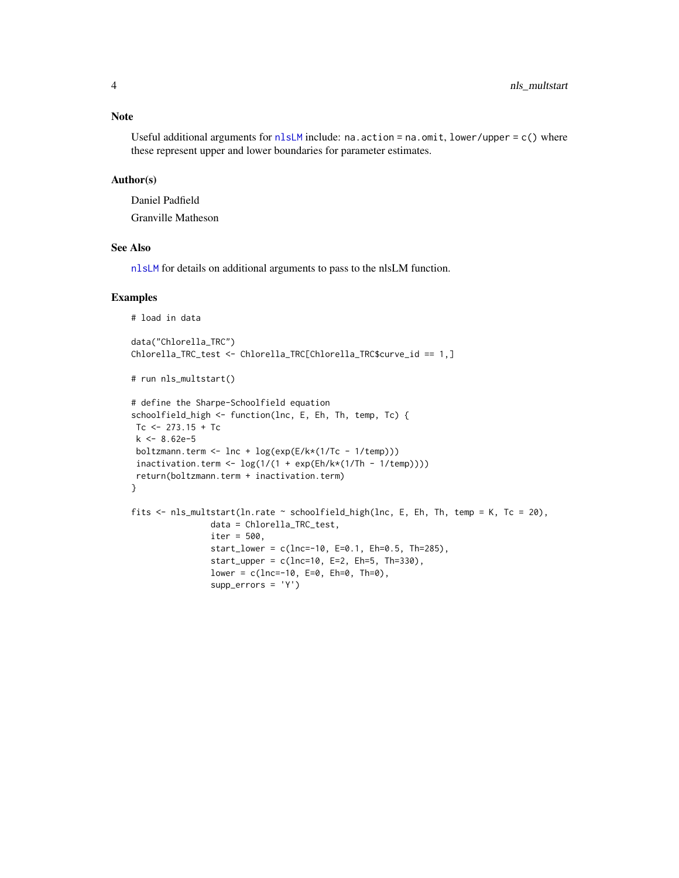### <span id="page-3-0"></span>Note

Useful additional arguments for  $nlsLM$  include: na.action = na.omit, lower/upper = c() where these represent upper and lower boundaries for parameter estimates.

# Author(s)

Daniel Padfield Granville Matheson

# See Also

[nlsLM](#page-0-0) for details on additional arguments to pass to the nlsLM function.

### Examples

```
# load in data
data("Chlorella_TRC")
Chlorella_TRC_test <- Chlorella_TRC[Chlorella_TRC$curve_id == 1,]
# run nls_multstart()
# define the Sharpe-Schoolfield equation
schoolfield_high <- function(lnc, E, Eh, Th, temp, Tc) {
Tc <- 273.15 + Tc
k <- 8.62e-5
boltzmann.term <- lnc + log(exp(E/k*(1/Tc - 1/temp)))
incitivation.term < -log(1/(1 + exp(Eh/k*(1/Th - 1/temp))))return(boltzmann.term + inactivation.term)
}
fits <- nls_multstart(ln.rate ~ schoolfield_high(lnc, E, Eh, Th, temp = K, Tc = 20),
               data = Chlorella_TRC_test,
               iter = 500,
                start_lower = c(lnc=-10, E=0.1, Eh=0.5, Th=285),
                start_upper = c(lnc=10, E=2, Eh=5, Th=330),
                lower = c(1nc=-10, E=0, Eh=0, Th=0),supp_errors = 'Y')
```